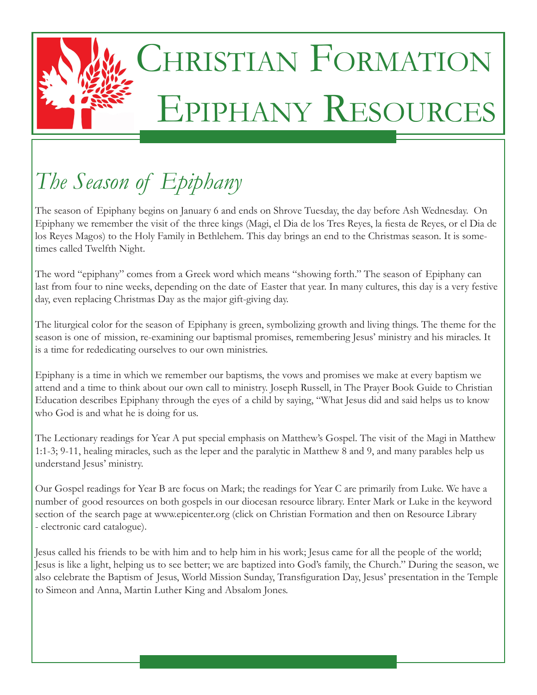

# CHRISTIAN FORMATION Epiphany Resources

## *The Season of Epiphany*

The season of Epiphany begins on January 6 and ends on Shrove Tuesday, the day before Ash Wednesday. On Epiphany we remember the visit of the three kings (Magi, el Dia de los Tres Reyes, la fiesta de Reyes, or el Dia de los Reyes Magos) to the Holy Family in Bethlehem. This day brings an end to the Christmas season. It is sometimes called Twelfth Night.

The word "epiphany" comes from a Greek word which means "showing forth." The season of Epiphany can last from four to nine weeks, depending on the date of Easter that year. In many cultures, this day is a very festive day, even replacing Christmas Day as the major gift-giving day.

The liturgical color for the season of Epiphany is green, symbolizing growth and living things. The theme for the season is one of mission, re-examining our baptismal promises, remembering Jesus' ministry and his miracles. It is a time for rededicating ourselves to our own ministries.

Epiphany is a time in which we remember our baptisms, the vows and promises we make at every baptism we attend and a time to think about our own call to ministry. Joseph Russell, in The Prayer Book Guide to Christian Education describes Epiphany through the eyes of a child by saying, "What Jesus did and said helps us to know who God is and what he is doing for us.

The Lectionary readings for Year A put special emphasis on Matthew's Gospel. The visit of the Magi in Matthew 1:1-3; 9-11, healing miracles, such as the leper and the paralytic in Matthew 8 and 9, and many parables help us understand Jesus' ministry.

Our Gospel readings for Year B are focus on Mark; the readings for Year C are primarily from Luke. We have a number of good resources on both gospels in our diocesan resource library. Enter Mark or Luke in the keyword section of the search page at www.epicenter.org (click on Christian Formation and then on Resource Library - electronic card catalogue).

Jesus called his friends to be with him and to help him in his work; Jesus came for all the people of the world; Jesus is like a light, helping us to see better; we are baptized into God's family, the Church." During the season, we also celebrate the Baptism of Jesus, World Mission Sunday, Transfiguration Day, Jesus' presentation in the Temple to Simeon and Anna, Martin Luther King and Absalom Jones.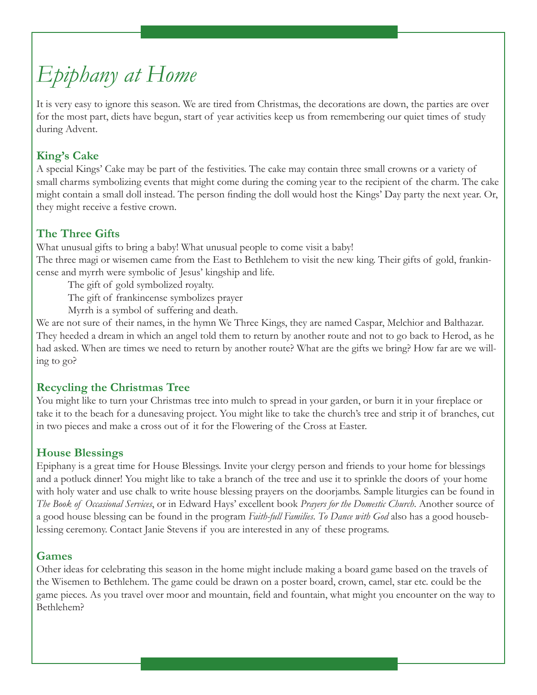### *Epiphany at Home*

It is very easy to ignore this season. We are tired from Christmas, the decorations are down, the parties are over for the most part, diets have begun, start of year activities keep us from remembering our quiet times of study during Advent.

#### **King's Cake**

A special Kings' Cake may be part of the festivities. The cake may contain three small crowns or a variety of small charms symbolizing events that might come during the coming year to the recipient of the charm. The cake might contain a small doll instead. The person finding the doll would host the Kings' Day party the next year. Or, they might receive a festive crown.

#### **The Three Gifts**

What unusual gifts to bring a baby! What unusual people to come visit a baby! The three magi or wisemen came from the East to Bethlehem to visit the new king. Their gifts of gold, frankincense and myrrh were symbolic of Jesus' kingship and life.

The gift of gold symbolized royalty.

The gift of frankincense symbolizes prayer

Myrrh is a symbol of suffering and death.

We are not sure of their names, in the hymn We Three Kings, they are named Caspar, Melchior and Balthazar. They heeded a dream in which an angel told them to return by another route and not to go back to Herod, as he had asked. When are times we need to return by another route? What are the gifts we bring? How far are we willing to go?

#### **Recycling the Christmas Tree**

You might like to turn your Christmas tree into mulch to spread in your garden, or burn it in your fireplace or take it to the beach for a dunesaving project. You might like to take the church's tree and strip it of branches, cut in two pieces and make a cross out of it for the Flowering of the Cross at Easter.

#### **House Blessings**

Epiphany is a great time for House Blessings. Invite your clergy person and friends to your home for blessings and a potluck dinner! You might like to take a branch of the tree and use it to sprinkle the doors of your home with holy water and use chalk to write house blessing prayers on the doorjambs. Sample liturgies can be found in *The Book of Occasional Services*, or in Edward Hays' excellent book *Prayers for the Domestic Church*. Another source of a good house blessing can be found in the program *Faith-full Families*. *To Dance with God* also has a good houseblessing ceremony. Contact Janie Stevens if you are interested in any of these programs.

#### **Games**

Other ideas for celebrating this season in the home might include making a board game based on the travels of the Wisemen to Bethlehem. The game could be drawn on a poster board, crown, camel, star etc. could be the game pieces. As you travel over moor and mountain, field and fountain, what might you encounter on the way to Bethlehem?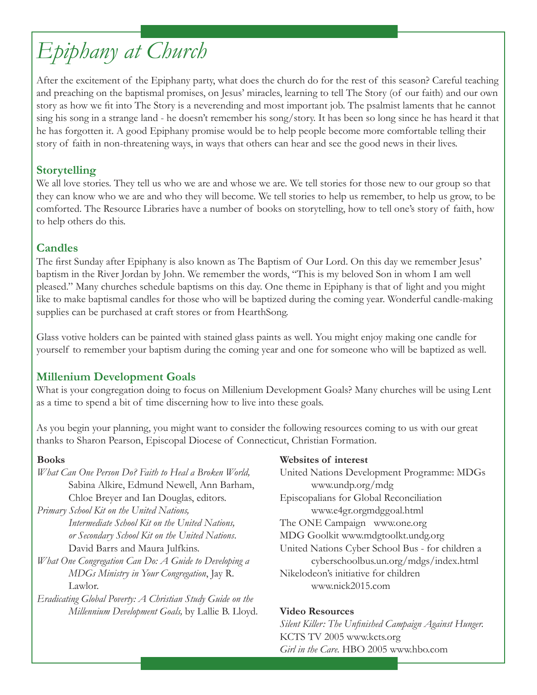### *Epiphany at Church*

After the excitement of the Epiphany party, what does the church do for the rest of this season? Careful teaching and preaching on the baptismal promises, on Jesus' miracles, learning to tell The Story (of our faith) and our own story as how we fit into The Story is a neverending and most important job. The psalmist laments that he cannot sing his song in a strange land - he doesn't remember his song/story. It has been so long since he has heard it that he has forgotten it. A good Epiphany promise would be to help people become more comfortable telling their story of faith in non-threatening ways, in ways that others can hear and see the good news in their lives.

#### **Storytelling**

We all love stories. They tell us who we are and whose we are. We tell stories for those new to our group so that they can know who we are and who they will become. We tell stories to help us remember, to help us grow, to be comforted. The Resource Libraries have a number of books on storytelling, how to tell one's story of faith, how to help others do this.

#### **Candles**

The first Sunday after Epiphany is also known as The Baptism of Our Lord. On this day we remember Jesus' baptism in the River Jordan by John. We remember the words, "This is my beloved Son in whom I am well pleased." Many churches schedule baptisms on this day. One theme in Epiphany is that of light and you might like to make baptismal candles for those who will be baptized during the coming year. Wonderful candle-making supplies can be purchased at craft stores or from HearthSong.

Glass votive holders can be painted with stained glass paints as well. You might enjoy making one candle for yourself to remember your baptism during the coming year and one for someone who will be baptized as well.

#### **Millenium Development Goals**

What is your congregation doing to focus on Millenium Development Goals? Many churches will be using Lent as a time to spend a bit of time discerning how to live into these goals.

As you begin your planning, you might want to consider the following resources coming to us with our great thanks to Sharon Pearson, Episcopal Diocese of Connecticut, Christian Formation.

#### **Books**

*What Can One Person Do? Faith to Heal a Broken World,* Sabina Alkire, Edmund Newell, Ann Barham, Chloe Breyer and Ian Douglas, editors.

*Primary School Kit on the United Nations, Intermediate School Kit on the United Nations, or Secondary School Kit on the United Nations*. David Barrs and Maura Julfkins.

- *What One Congregation Can Do: A Guide to Developing a MDGs Ministry in Your Congregation*, Jay R. Lawlor.
- *Eradicating Global Poverty: A Christian Study Guide on the Millennium Development Goals,* by Lallie B. Lloyd.

#### **Websites of interest**

United Nations Development Programme: MDGs www.undp.org/mdg Episcopalians for Global Reconciliation www.e4gr.orgmdggoal.html The ONE Campaign www.one.org MDG Goolkit www.mdgtoolkt.undg.org United Nations Cyber School Bus - for children a cyberschoolbus.un.org/mdgs/index.html Nikelodeon's initiative for children www.nick2015.com

#### **Video Resources**

*Silent Killer: The Unfinished Campaign Against Hunger.* KCTS TV 2005 www.kcts.org *Girl in the Care.* HBO 2005 www.hbo.com